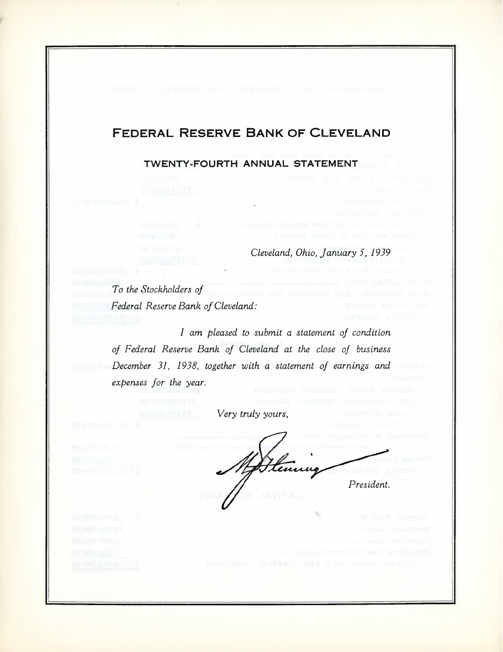### **FEDERAL RESERVE BANK OF CLEVELAND**

**TWENTY-FOURTH ANNUAL STATEMENT**

*Cleveland, Ohio, January* 5, 1939

*To the Stockholders of Federal Reserve Bank of Cleveland:*

*I am pleased to submit a statement of condition of Federal Reserve Bank of Cleveland at the close of business December* 31, 1938, *together with a statement of earnings and expenses for the year.*

*Very truly yours,*

tenu *President.*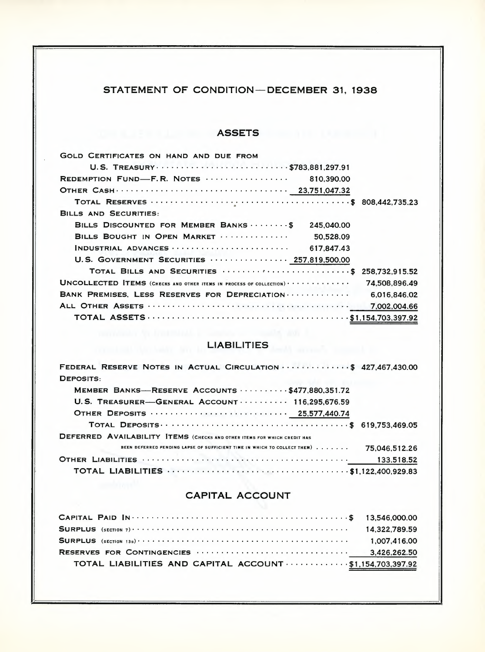### STATEMENT OF CONDITION-DECEMBER 31, 1938

## **ASSETS ASSETS**

| <b>GOLD CERTIFICATES ON HAND AND DUE FROM</b>                                                       |               |
|-----------------------------------------------------------------------------------------------------|---------------|
| U.S. TREASURY  \$783,881,297.91                                                                     |               |
|                                                                                                     |               |
|                                                                                                     |               |
|                                                                                                     |               |
| <b>BILLS AND SECURITIES:</b>                                                                        |               |
| BILLS DISCOUNTED FOR MEMBER BANKS  \$<br>245.040.00                                                 |               |
| BILLS BOUGHT IN OPEN MARKET<br>50.528.09                                                            |               |
| INDUSTRIAL ADVANCES $\cdots \cdots \cdots \cdots \cdots \cdots \cdots$ 617,847.43                   |               |
| U.S. GOVERNMENT SECURITIES  257,819,500.00                                                          |               |
| TOTAL BILLS AND SECURITIES  \$ 258,732.915.52                                                       |               |
| $UNCOLLECTED ITEMS$ (CHECKS AND OTHER ITEMS IN PROCESS OF COLLECTION) $\cdots \cdots \cdots \cdots$ | 74.508.896.49 |
| BANK PREMISES, LESS RESERVES FOR DEPRECIATION                                                       | 6.016.846.02  |
|                                                                                                     |               |
|                                                                                                     |               |

# **EXAMPLE LIABILITIES**

| FEDERAL RESERVE NOTES IN ACTUAL CIRCULATION \$ 427,467,430.00                                        |               |
|------------------------------------------------------------------------------------------------------|---------------|
| DEPOSITS:                                                                                            |               |
| MEMBER BANKS-RESERVE ACCOUNTS $\cdots \cdots$ \$477,880,351,72                                       |               |
| U.S. TREASURER-GENERAL ACCOUNT $\cdots$ 116.295.676.59                                               |               |
|                                                                                                      |               |
|                                                                                                      |               |
| <b>DEFERRED AVAILABILITY ITEMS (CHECKS AND OTHER ITEMS FOR WHICH CREDIT HAS</b>                      |               |
| BEEN DEFERRED PENDING LAPSE OF SUFFICIENT TIME IN WHICH TO COLLECT THEM)                             | 75.046.512.26 |
|                                                                                                      | 133,518.52    |
| TOTAL LIABILITIES <b>WELLS</b> AND CONTROLLER MALLERY AND TOTAL LIABILITIES <b>ALLERY</b> 200.929.83 |               |

### **CAPITAL ACCOUNT**

|                                                          | 14.322.789.59 |
|----------------------------------------------------------|---------------|
|                                                          | 1.007.416.00  |
|                                                          |               |
| TOTAL LIABILITIES AND CAPITAL ACCOUNT \$1,154,703,397.92 |               |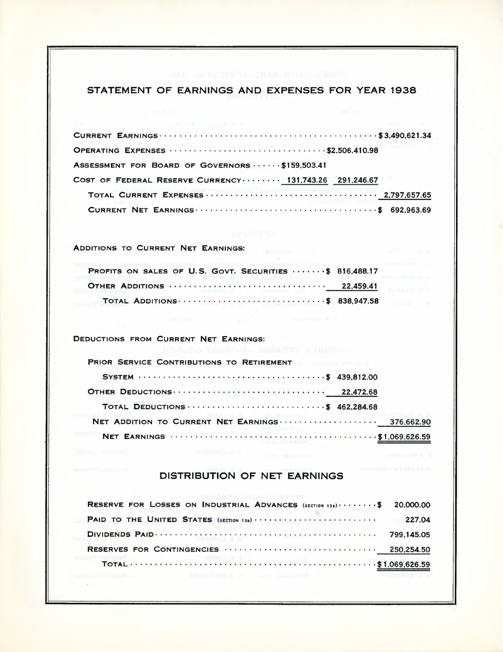### STATEMENT OF EARNINGS AND EXPENSES FOR YEAR 1938

| ASSESSMENT FOR BOARD OF GOVERNORS \$159,503.41          |  |
|---------------------------------------------------------|--|
| COST OF FEDERAL RESERVE CURRENCY  131,743.26 291,246.67 |  |
|                                                         |  |
|                                                         |  |

### ADDITIONS TO CURRENT NET EARNINGS:

| PROFITS ON SALES OF U.S. GOVT. SECURITIES  \$ 816,488.17 |  |
|----------------------------------------------------------|--|
|                                                          |  |
| TOTAL ADDITIONS \$ 838,947.58                            |  |

comment of the comment of

DEDUCTIONS FROM CURRENT NET EARNINGS:

 $\sim$   $\sim$ 

 $\sim 10^{-1}$ 

| PRIOR SERVICE CONTRIBUTIONS TO RETIREMENT        |  |
|--------------------------------------------------|--|
|                                                  |  |
|                                                  |  |
| TOTAL DEDUCTIONS \$ 462,284.68                   |  |
| NET ADDITION TO CURRENT NET EARNINGS  376,662.90 |  |
|                                                  |  |

#### DISTRIBUTION OF NET EARNINGS

| <b>RESERVE FOR LOSSES ON INDUSTRIAL ADVANCES</b> $(s_{ECI(0)138}) \cdot \cdot \cdot \cdot \cdot \cdot \cdot$ 20,000.00 |        |
|------------------------------------------------------------------------------------------------------------------------|--------|
| <b>PAID TO THE UNITED STATES</b> (SECTION 13B)                                                                         | 227.04 |
|                                                                                                                        |        |
|                                                                                                                        |        |
|                                                                                                                        |        |